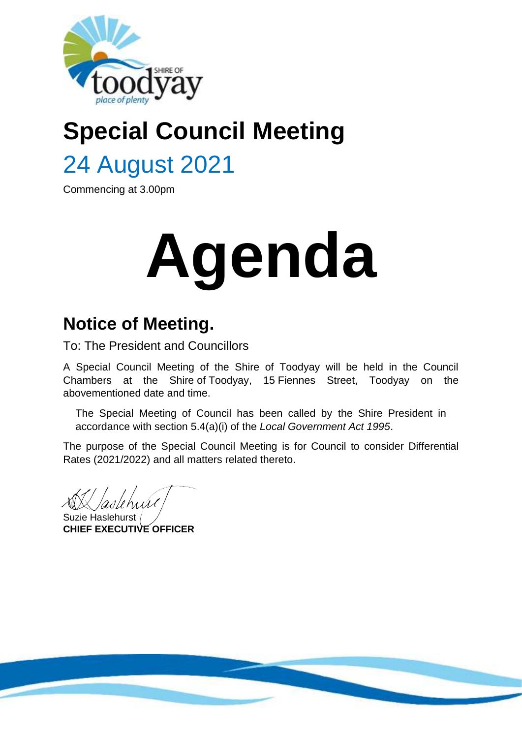

# **Special Council Meeting**

## 24 August 2021

Commencing at 3.00pm

# **Agenda**

## **Notice of Meeting.**

To: The President and Councillors

A Special Council Meeting of the Shire of Toodyay will be held in the Council Chambers at the Shire of Toodyay, 15 Fiennes Street, Toodyay on the abovementioned date and time.

The Special Meeting of Council has been called by the Shire President in accordance with section 5.4(a)(i) of the *Local Government Act 1995*.

The purpose of the Special Council Meeting is for Council to consider Differential Rates (2021/2022) and all matters related thereto.

asletníh

Suzie Haslehurst **CHIEF EXECUTIVE OFFICER**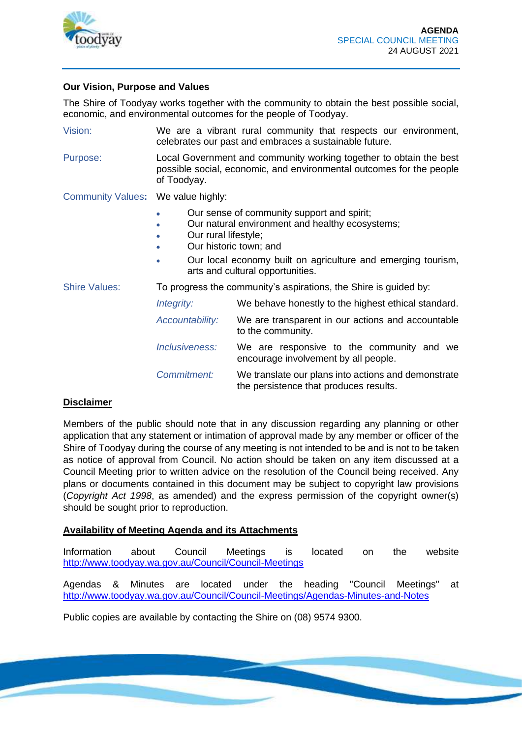

#### **Our Vision, Purpose and Values**

The Shire of Toodyay works together with the community to obtain the best possible social, economic, and environmental outcomes for the people of Toodyay.

Vision: We are a vibrant rural community that respects our environment, celebrates our past and embraces a sustainable future.

Purpose: Local Government and community working together to obtain the best possible social, economic, and environmental outcomes for the people of Toodyay.

Community Values**:** We value highly:

- Our sense of community support and spirit;
- Our natural environment and healthy ecosystems;
- Our rural lifestyle;
- Our historic town: and
- Our local economy built on agriculture and emerging tourism, arts and cultural opportunities.

Shire Values: To progress the community's aspirations, the Shire is guided by:

*Integrity:* We behave honestly to the highest ethical standard.

- *Accountability:* We are transparent in our actions and accountable to the community.
- *Inclusiveness:* We are responsive to the community and we encourage involvement by all people.
- *Commitment:* We translate our plans into actions and demonstrate the persistence that produces results.

#### **Disclaimer**

Members of the public should note that in any discussion regarding any planning or other application that any statement or intimation of approval made by any member or officer of the Shire of Toodyay during the course of any meeting is not intended to be and is not to be taken as notice of approval from Council. No action should be taken on any item discussed at a Council Meeting prior to written advice on the resolution of the Council being received. Any plans or documents contained in this document may be subject to copyright law provisions (*Copyright Act 1998*, as amended) and the express permission of the copyright owner(s) should be sought prior to reproduction.

#### **Availability of Meeting Agenda and its Attachments**

Information about Council Meetings is located on the website http://www.toodyay.wa.gov.au/Council/Council-Meetings

Agendas & Minutes are located under the heading "Council Meetings" at http://www.toodyay.wa.gov.au/Council/Council-Meetings/Agendas-Minutes-and-Notes

Public copies are available by contacting the Shire on (08) 9574 9300.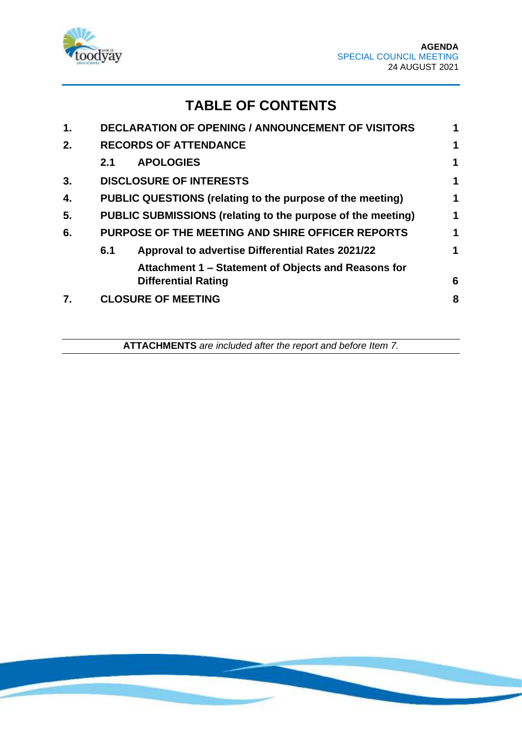

### **TABLE OF CONTENTS**

| 1. |     | <b>DECLARATION OF OPENING / ANNOUNCEMENT OF VISITORS</b>                          | 1           |
|----|-----|-----------------------------------------------------------------------------------|-------------|
| 2. |     | <b>RECORDS OF ATTENDANCE</b>                                                      | 1           |
|    | 2.1 | <b>APOLOGIES</b>                                                                  | $\mathbf 1$ |
| 3. |     | <b>DISCLOSURE OF INTERESTS</b>                                                    | 1           |
| 4. |     | PUBLIC QUESTIONS (relating to the purpose of the meeting)                         | 1           |
| 5. |     | PUBLIC SUBMISSIONS (relating to the purpose of the meeting)                       | 1           |
| 6. |     | PURPOSE OF THE MEETING AND SHIRE OFFICER REPORTS                                  | 1           |
|    | 6.1 | <b>Approval to advertise Differential Rates 2021/22</b>                           | 1           |
|    |     | Attachment 1 – Statement of Objects and Reasons for<br><b>Differential Rating</b> | 6           |
| 7. |     | <b>CLOSURE OF MEETING</b>                                                         | 8           |
|    |     |                                                                                   |             |

**ATTACHMENTS** *are included after the report and before Item 7.*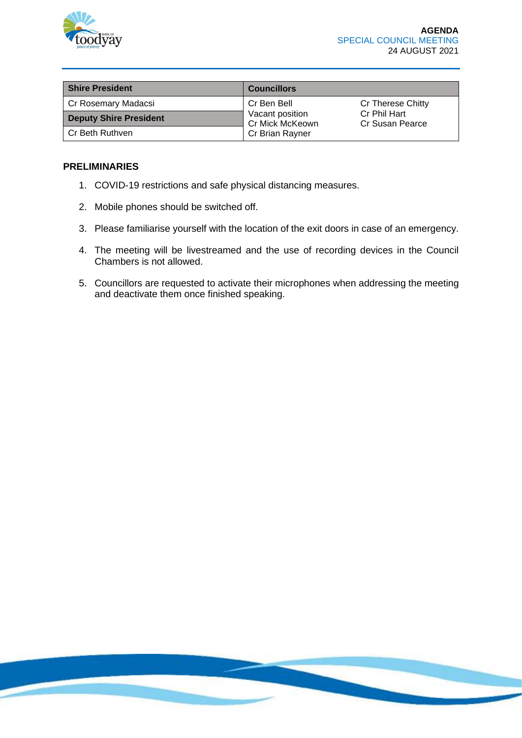

| <b>Shire President</b>        | <b>Councillors</b>                 |                                 |
|-------------------------------|------------------------------------|---------------------------------|
| Cr Rosemary Madacsi           | Cr Ben Bell                        | Cr Therese Chitty               |
| <b>Deputy Shire President</b> | Vacant position<br>Cr Mick McKeown | Cr Phil Hart<br>Cr Susan Pearce |
| l Cr Beth Ruthven             | Cr Brian Rayner                    |                                 |

#### **PRELIMINARIES**

- 1. COVID-19 restrictions and safe physical distancing measures.
- 2. Mobile phones should be switched off.
- 3. Please familiarise yourself with the location of the exit doors in case of an emergency.
- 4. The meeting will be livestreamed and the use of recording devices in the Council Chambers is not allowed.
- 5. Councillors are requested to activate their microphones when addressing the meeting and deactivate them once finished speaking.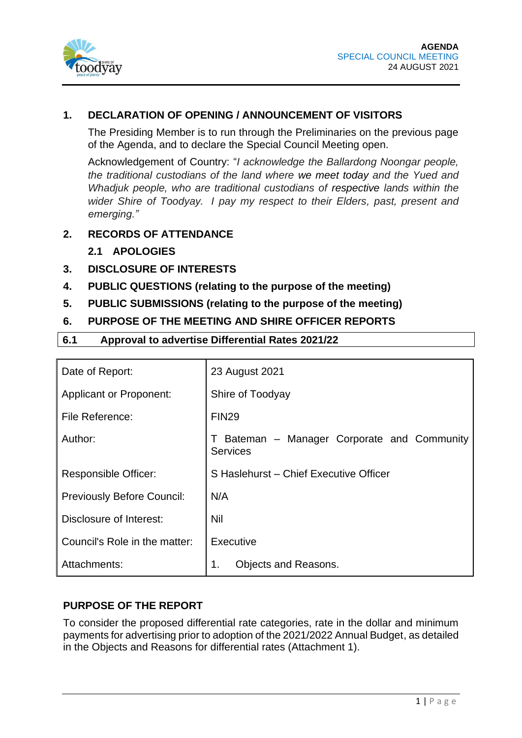

#### **1. DECLARATION OF OPENING / ANNOUNCEMENT OF VISITORS**

The Presiding Member is to run through the Preliminaries on the previous page of the Agenda, and to declare the Special Council Meeting open.

Acknowledgement of Country: "*I acknowledge the Ballardong Noongar people, the traditional custodians of the land where we meet today and the Yued and Whadjuk people, who are traditional custodians of respective lands within the wider Shire of Toodyay. I pay my respect to their Elders, past, present and emerging."*

#### **2. RECORDS OF ATTENDANCE**

#### **2.1 APOLOGIES**

- **3. DISCLOSURE OF INTERESTS**
- **4. PUBLIC QUESTIONS (relating to the purpose of the meeting)**
- **5. PUBLIC SUBMISSIONS (relating to the purpose of the meeting)**
- **6. PURPOSE OF THE MEETING AND SHIRE OFFICER REPORTS**

#### **6.1 Approval to advertise Differential Rates 2021/22**

| Date of Report:                   | 23 August 2021                                                               |  |  |
|-----------------------------------|------------------------------------------------------------------------------|--|--|
| <b>Applicant or Proponent:</b>    | Shire of Toodyay                                                             |  |  |
| File Reference:                   | <b>FIN29</b>                                                                 |  |  |
| Author:                           | Bateman - Manager Corporate and Community<br>$\mathbf{L}$<br><b>Services</b> |  |  |
| <b>Responsible Officer:</b>       | S Haslehurst - Chief Executive Officer                                       |  |  |
| <b>Previously Before Council:</b> | N/A                                                                          |  |  |
| Disclosure of Interest:           | Nil                                                                          |  |  |
| Council's Role in the matter:     | Executive                                                                    |  |  |
| Attachments:                      | 1.<br><b>Objects and Reasons.</b>                                            |  |  |

#### **PURPOSE OF THE REPORT**

To consider the proposed differential rate categories, rate in the dollar and minimum payments for advertising prior to adoption of the 2021/2022 Annual Budget, as detailed in the Objects and Reasons for differential rates (Attachment 1).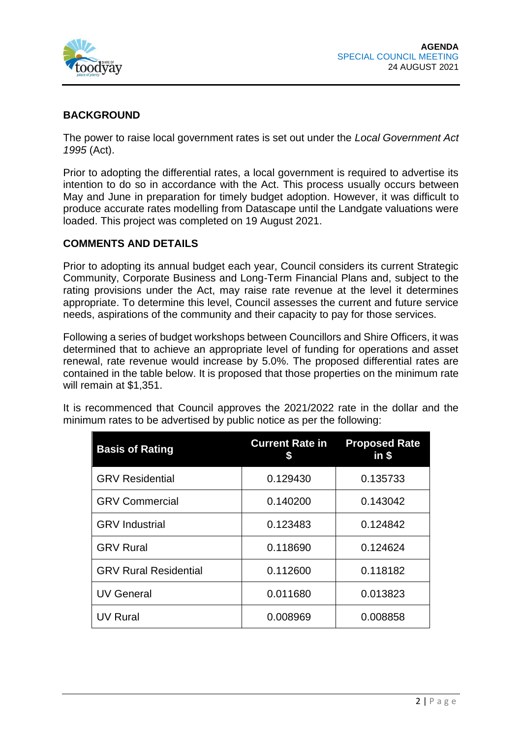

#### **BACKGROUND**

The power to raise local government rates is set out under the *Local Government Act 1995* (Act).

Prior to adopting the differential rates, a local government is required to advertise its intention to do so in accordance with the Act. This process usually occurs between May and June in preparation for timely budget adoption. However, it was difficult to produce accurate rates modelling from Datascape until the Landgate valuations were loaded. This project was completed on 19 August 2021.

#### **COMMENTS AND DETAILS**

Prior to adopting its annual budget each year, Council considers its current Strategic Community, Corporate Business and Long-Term Financial Plans and, subject to the rating provisions under the Act, may raise rate revenue at the level it determines appropriate. To determine this level, Council assesses the current and future service needs, aspirations of the community and their capacity to pay for those services.

Following a series of budget workshops between Councillors and Shire Officers, it was determined that to achieve an appropriate level of funding for operations and asset renewal, rate revenue would increase by 5.0%. The proposed differential rates are contained in the table below. It is proposed that those properties on the minimum rate will remain at \$1,351.

| <b>Basis of Rating</b> | <b>Current Rate in</b> | <b>Proposed Rate</b><br>$in$ \$ |
|------------------------|------------------------|---------------------------------|
| <b>GRV Residential</b> | 0.129430               | 0.135733                        |
| <b>GRV Commercial</b>  | 0.140200               | 0.143042                        |
| <b>GRV</b> Industrial  | 0.123483               | 0.124842                        |
|                        |                        |                                 |

It is recommenced that Council approves the 2021/2022 rate in the dollar and the minimum rates to be advertised by public notice as per the following:

| <b>GRV Commercial</b>        | 0.140200 | 0.143042 |
|------------------------------|----------|----------|
| <b>GRV</b> Industrial        | 0.123483 | 0.124842 |
| <b>GRV Rural</b>             | 0.118690 | 0.124624 |
| <b>GRV Rural Residential</b> | 0.112600 | 0.118182 |
| <b>UV General</b>            | 0.011680 | 0.013823 |
| <b>UV Rural</b>              | 0.008969 | 0.008858 |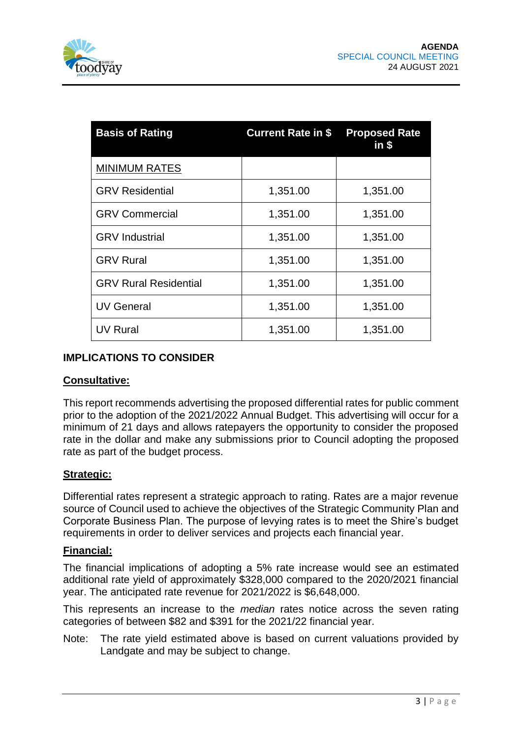| <b>Basis of Rating</b>       | <b>Current Rate in \$</b> | <b>Proposed Rate</b><br>$in$ \$ |
|------------------------------|---------------------------|---------------------------------|
| <b>MINIMUM RATES</b>         |                           |                                 |
| <b>GRV Residential</b>       | 1,351.00                  | 1,351.00                        |
| <b>GRV Commercial</b>        | 1,351.00                  | 1,351.00                        |
| <b>GRV</b> Industrial        | 1,351.00                  | 1,351.00                        |
| <b>GRV Rural</b>             | 1,351.00                  | 1,351.00                        |
| <b>GRV Rural Residential</b> | 1,351.00                  | 1,351.00                        |
| <b>UV General</b>            | 1,351.00                  | 1,351.00                        |
| <b>UV Rural</b>              | 1,351.00                  | 1,351.00                        |

#### **IMPLICATIONS TO CONSIDER**

#### **Consultative:**

This report recommends advertising the proposed differential rates for public comment prior to the adoption of the 2021/2022 Annual Budget. This advertising will occur for a minimum of 21 days and allows ratepayers the opportunity to consider the proposed rate in the dollar and make any submissions prior to Council adopting the proposed rate as part of the budget process.

#### **Strategic:**

Differential rates represent a strategic approach to rating. Rates are a major revenue source of Council used to achieve the objectives of the Strategic Community Plan and Corporate Business Plan. The purpose of levying rates is to meet the Shire's budget requirements in order to deliver services and projects each financial year.

#### **Financial:**

The financial implications of adopting a 5% rate increase would see an estimated additional rate yield of approximately \$328,000 compared to the 2020/2021 financial year. The anticipated rate revenue for 2021/2022 is \$6,648,000.

This represents an increase to the *median* rates notice across the seven rating categories of between \$82 and \$391 for the 2021/22 financial year.

Note: The rate yield estimated above is based on current valuations provided by Landgate and may be subject to change.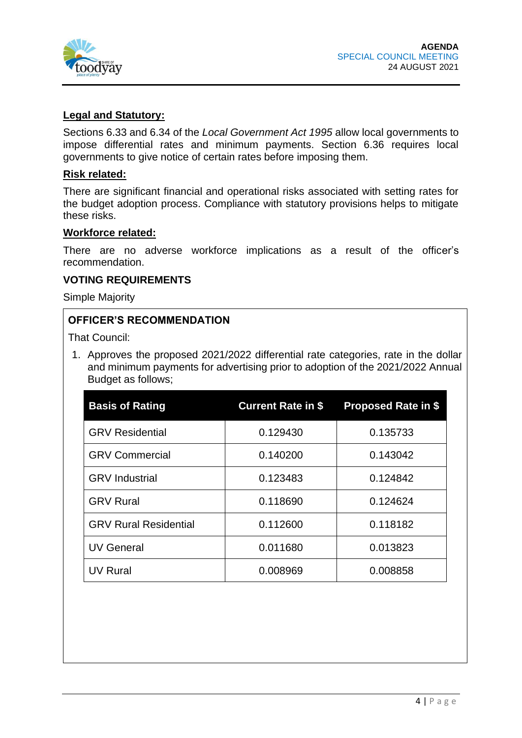

#### **Legal and Statutory:**

Sections 6.33 and 6.34 of the *Local Government Act 1995* allow local governments to impose differential rates and minimum payments. Section 6.36 requires local governments to give notice of certain rates before imposing them.

#### **Risk related:**

There are significant financial and operational risks associated with setting rates for the budget adoption process. Compliance with statutory provisions helps to mitigate these risks.

#### **Workforce related:**

There are no adverse workforce implications as a result of the officer's recommendation.

#### **VOTING REQUIREMENTS**

Simple Majority

#### **OFFICER'S RECOMMENDATION**

That Council:

1. Approves the proposed 2021/2022 differential rate categories, rate in the dollar and minimum payments for advertising prior to adoption of the 2021/2022 Annual Budget as follows;

| <b>Basis of Rating</b>       | <b>Current Rate in \$</b> | <b>Proposed Rate in \$</b> |
|------------------------------|---------------------------|----------------------------|
| <b>GRV Residential</b>       | 0.129430                  | 0.135733                   |
| <b>GRV Commercial</b>        | 0.140200                  | 0.143042                   |
| <b>GRV</b> Industrial        | 0.123483                  | 0.124842                   |
| <b>GRV Rural</b>             | 0.118690                  | 0.124624                   |
| <b>GRV Rural Residential</b> | 0.112600                  | 0.118182                   |
| <b>UV General</b>            | 0.011680                  | 0.013823                   |
| <b>UV Rural</b>              | 0.008969                  | 0.008858                   |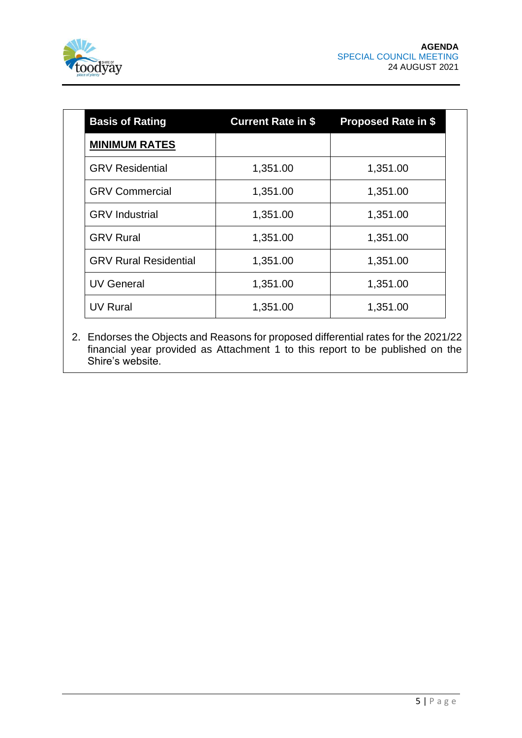

| <b>Basis of Rating</b>       | <b>Current Rate in \$</b> | <b>Proposed Rate in \$</b> |
|------------------------------|---------------------------|----------------------------|
| <b>MINIMUM RATES</b>         |                           |                            |
| <b>GRV Residential</b>       | 1,351.00                  | 1,351.00                   |
| <b>GRV Commercial</b>        | 1,351.00                  | 1,351.00                   |
| <b>GRV</b> Industrial        | 1,351.00                  | 1,351.00                   |
| <b>GRV Rural</b>             | 1,351.00                  | 1,351.00                   |
| <b>GRV Rural Residential</b> | 1,351.00                  | 1,351.00                   |
| <b>UV General</b>            | 1,351.00                  | 1,351.00                   |
| <b>UV Rural</b>              | 1,351.00                  | 1,351.00                   |

2. Endorses the Objects and Reasons for proposed differential rates for the 2021/22 financial year provided as Attachment 1 to this report to be published on the Shire's website.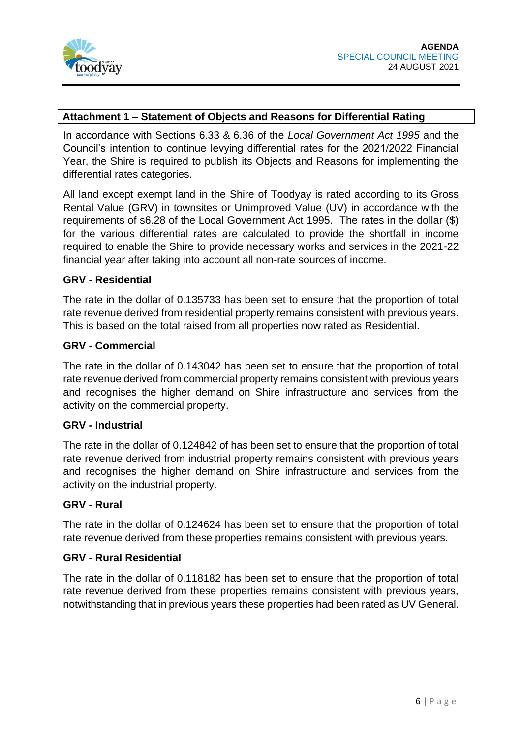

#### **Attachment 1 – Statement of Objects and Reasons for Differential Rating**

In accordance with Sections 6.33 & 6.36 of the *Local Government Act 1995* and the Council's intention to continue levying differential rates for the 2021/2022 Financial Year, the Shire is required to publish its Objects and Reasons for implementing the differential rates categories.

All land except exempt land in the Shire of Toodyay is rated according to its Gross Rental Value (GRV) in townsites or Unimproved Value (UV) in accordance with the requirements of s6.28 of the Local Government Act 1995. The rates in the dollar (\$) for the various differential rates are calculated to provide the shortfall in income required to enable the Shire to provide necessary works and services in the 2021-22 financial year after taking into account all non-rate sources of income.

#### **GRV - Residential**

The rate in the dollar of 0.135733 has been set to ensure that the proportion of total rate revenue derived from residential property remains consistent with previous years. This is based on the total raised from all properties now rated as Residential.

#### **GRV - Commercial**

The rate in the dollar of 0.143042 has been set to ensure that the proportion of total rate revenue derived from commercial property remains consistent with previous years and recognises the higher demand on Shire infrastructure and services from the activity on the commercial property.

#### **GRV - Industrial**

The rate in the dollar of 0.124842 of has been set to ensure that the proportion of total rate revenue derived from industrial property remains consistent with previous years and recognises the higher demand on Shire infrastructure and services from the activity on the industrial property.

#### **GRV - Rural**

The rate in the dollar of 0.124624 has been set to ensure that the proportion of total rate revenue derived from these properties remains consistent with previous years.

#### **GRV - Rural Residential**

The rate in the dollar of 0.118182 has been set to ensure that the proportion of total rate revenue derived from these properties remains consistent with previous years, notwithstanding that in previous years these properties had been rated as UV General.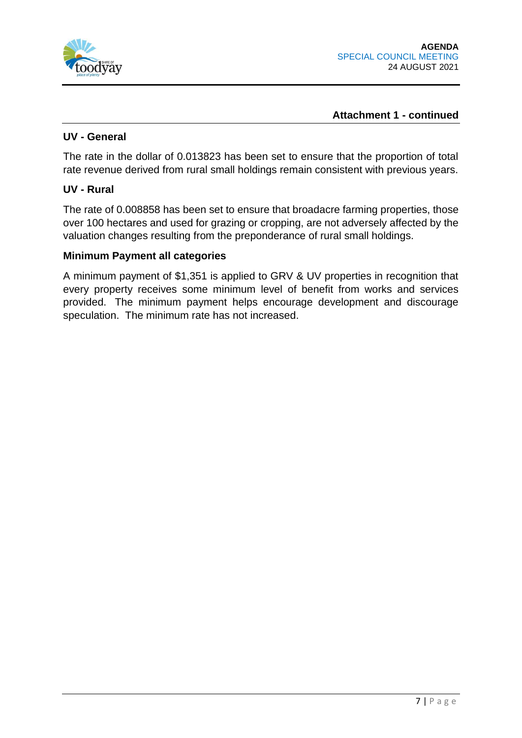

#### **Attachment 1 - continued**

#### **UV - General**

The rate in the dollar of 0.013823 has been set to ensure that the proportion of total rate revenue derived from rural small holdings remain consistent with previous years.

#### **UV - Rural**

The rate of 0.008858 has been set to ensure that broadacre farming properties, those over 100 hectares and used for grazing or cropping, are not adversely affected by the valuation changes resulting from the preponderance of rural small holdings.

#### **Minimum Payment all categories**

A minimum payment of \$1,351 is applied to GRV & UV properties in recognition that every property receives some minimum level of benefit from works and services provided. The minimum payment helps encourage development and discourage speculation. The minimum rate has not increased.